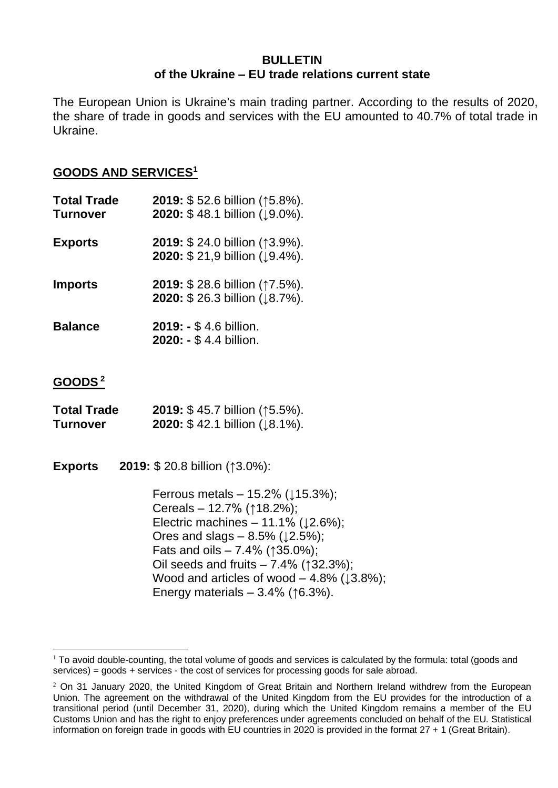## **BULLETIN of the Ukraine – EU trade relations current state**

The European Union is Ukraine's main trading partner. According to the results of 2020, the share of trade in goods and services with the EU amounted to 40.7% of total trade in Ukraine.

## **GOODS AND SERVICES<sup>1</sup>**

| <b>Total Trade</b><br>Turnover | 2019: \$52.6 billion (15.8%).<br>2020: \$48.1 billion (19.0%).        |
|--------------------------------|-----------------------------------------------------------------------|
| <b>Exports</b>                 | <b>2019: \$24.0 billion (↑3.9%).</b><br>2020: \$21,9 billion (19.4%). |
| <b>Imports</b>                 | 2019: \$28.6 billion (17.5%).<br>2020: \$26.3 billion (18.7%).        |
| <b>Balance</b>                 | 2019: - \$4.6 billion.<br>2020: - \$4.4 billion.                      |

## **GOODS <sup>2</sup>**

| <b>Total Trade</b> | 2019: \$45.7 billion (15.5%).                     |
|--------------------|---------------------------------------------------|
| <b>Turnover</b>    | <b>2020:</b> \$42.1 billion ( $\downarrow$ 8.1%). |

**Exports 2019:** \$ 20.8 billion (↑3.0%):

Ferrous metals –  $15.2\%$  ( $\downarrow$ 15.3%); Cereals – 12.7% (↑18.2%); Electric machines  $-11.1\%$  ( $\downarrow$ 2.6%); Ores and slags –  $8.5\%$  ( $\downarrow$ 2.5%); Fats and oils –  $7.4\%$  ( $\uparrow$ 35.0%); Oil seeds and fruits  $-7.4\%$  ( $\uparrow$ 32.3%); Wood and articles of wood  $-4.8\%$  ( $\downarrow 3.8\%$ ); Energy materials  $-3.4\%$  ( $\uparrow$ 6.3%).

 $1$  To avoid double-counting, the total volume of goods and services is calculated by the formula: total (goods and services) = goods + services - the cost of services for processing goods for sale abroad.

 $2$  On 31 January 2020, the United Kingdom of Great Britain and Northern Ireland withdrew from the European Union. The agreement on the withdrawal of the United Kingdom from the EU provides for the introduction of a transitional period (until December 31, 2020), during which the United Kingdom remains a member of the EU Customs Union and has the right to enjoy preferences under agreements concluded on behalf of the EU. Statistical information on foreign trade in goods with EU countries in 2020 is provided in the format 27 + 1 (Great Britain).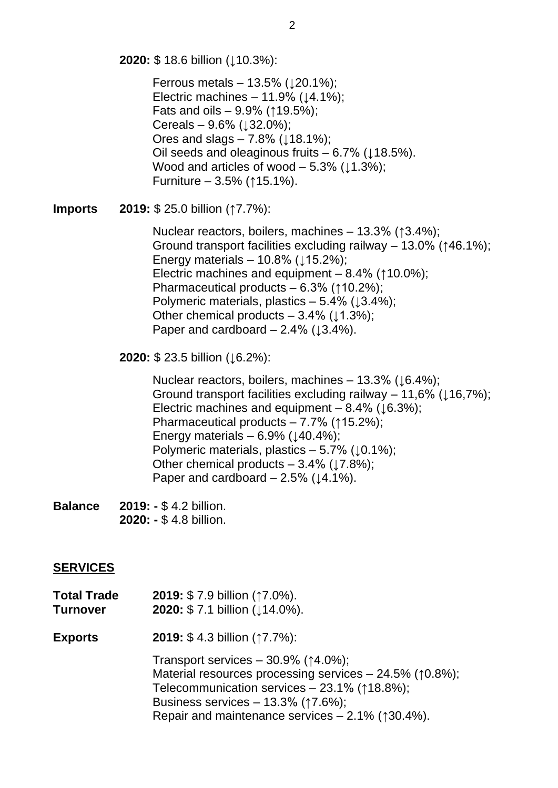**2020:** \$ 18.6 billion (↓10.3%):

Ferrous metals – 13.5%  $(120.1\%)$ ; Electric machines  $-11.9\%$  ( $\downarrow$ 4.1%); Fats and oils –  $9.9\%$  ( $\uparrow$ 19.5%); Cereals –  $9.6\%$  ( $\downarrow$ 32.0%); Ores and slags  $-7.8\%$  ( $\downarrow$ 18.1%); Oil seeds and oleaginous fruits  $-6.7\%$  ( $\downarrow$ 18.5%). Wood and articles of wood  $-5.3\%$  ( $\downarrow$ 1.3%); Furniture – 3.5% (↑15.1%).

**Imports 2019:** \$ 25.0 billion (↑7.7%):

Nuclear reactors, boilers, machines – 13.3% (↑3.4%); Ground transport facilities excluding railway – 13.0% (↑46.1%); Energy materials  $-10.8\%$  ( $\downarrow$ 15.2%); Electric machines and equipment – 8.4% (↑10.0%); Pharmaceutical products – 6.3% (↑10.2%); Polymeric materials, plastics  $-5.4\%$  ( $\downarrow$ 3.4%); Other chemical products –  $3.4\%$  ( $\downarrow$ 1.3%); Paper and cardboard –  $2.4\%$  ( $\downarrow 3.4\%$ ).

**2020: \$23.5 billion (↓6.2%):** 

Nuclear reactors, boilers, machines – 13.3% ( $\downarrow$ 6.4%); Ground transport facilities excluding railway – 11,6% ( $\downarrow$ 16,7%); Electric machines and equipment –  $8.4\%$  ( $\downarrow 6.3\%$ ); Pharmaceutical products – 7.7% (↑15.2%); Energy materials  $-6.9\%$  ( $\downarrow$ 40.4%); Polymeric materials, plastics  $-5.7\%$  ( $\downarrow$ 0.1%); Other chemical products  $-3.4\%$  ( $\downarrow$ 7.8%); Paper and cardboard  $-2.5\%$  ( $\downarrow$ 4.1%).

**Balance 2019: -** \$ 4.2 billion. **2020: -** \$ 4.8 billion.

## **SERVICES**

| <b>Total Trade</b><br><b>Turnover</b> | 2019: \$7.9 billion (17.0%).<br>2020: \$7.1 billion (114.0%).                                                                                                                                                                                                                                |
|---------------------------------------|----------------------------------------------------------------------------------------------------------------------------------------------------------------------------------------------------------------------------------------------------------------------------------------------|
| <b>Exports</b>                        | <b>2019:</b> \$4.3 billion $(17.7\%)$ :                                                                                                                                                                                                                                                      |
|                                       | Transport services $-30.9\%$ ( $\uparrow$ 4.0%);<br>Material resources processing services $-24.5\%$ ( $\uparrow$ 0.8%);<br>Telecommunication services - 23.1% (18.8%);<br>Business services - $13.3\%$ ( $\uparrow$ 7.6%);<br>Repair and maintenance services $-2.1\%$ ( $\uparrow$ 30.4%). |